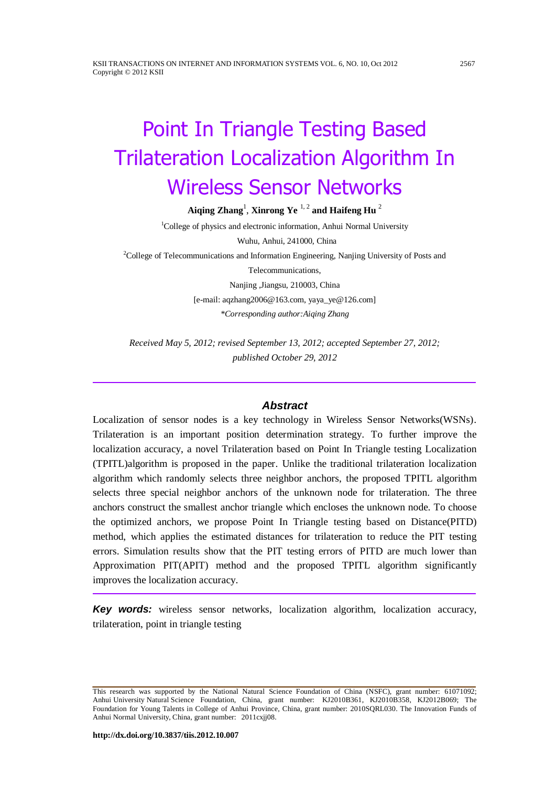# Point In Triangle Testing Based Trilateration Localization Algorithm In Wireless Sensor Networks

**Aiqing Zhang**<sup>1</sup> , **Xinrong Ye** 1, 2 **and Haifeng Hu** 2

<sup>1</sup>College of physics and electronic information, Anhui Normal University Wuhu, Anhui, 241000, China  $2^2$ College of Telecommunications and Information Engineering, Nanjing University of Posts and Telecommunications, Nanjing ,Jiangsu, 210003, China [e-mail[: aqzhang2006@163.com,](mailto:aqzhang2006@163.com) [yaya\\_ye@126.com\]](mailto:yaya_ye@126.com) *\*Corresponding author:Aiqing Zhang*

*Received May 5, 2012; revised September 13, 2012; accepted September 27, 2012; published October 29, 2012*

# *Abstract*

Localization of sensor nodes is a key technology in Wireless Sensor Networks(WSNs). Trilateration is an important position determination strategy. To further improve the localization accuracy, a novel Trilateration based on Point In Triangle testing Localization (TPITL)algorithm is proposed in the paper. Unlike the traditional trilateration localization algorithm which randomly selects three neighbor anchors, the proposed TPITL algorithm selects three special neighbor anchors of the unknown node for trilateration. The three anchors construct the smallest anchor triangle which encloses the unknown node. To choose the optimized anchors, we propose Point In Triangle testing based on Distance(PITD) method, which applies the estimated distances for trilateration to reduce the PIT testing errors. Simulation results show that the PIT testing errors of PITD are much lower than Approximation PIT(APIT) method and the proposed TPITL algorithm significantly improves the localization accuracy.

*Key words:* wireless sensor networks, localization algorithm, localization accuracy, trilateration, point in triangle testing

This research was supported by the National Natural Science Foundation of China (NSFC), grant number: 61071092; Anhui University Natural Science Foundation, China, grant number: KJ2010B361, KJ2010B358, KJ2012B069; The Foundation for Young Talents in College of Anhui Province, China, grant number: 2010SQRL030. The Innovation Funds of Anhui Normal University, China, grant number: 2011cxjj08.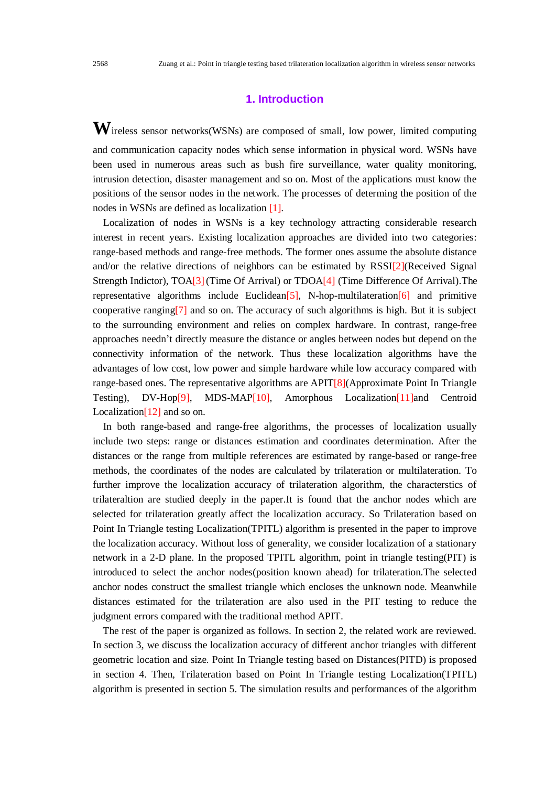# **1. Introduction**

**W**ireless sensor networks(WSNs) are composed of small, low power, limited computing and communication capacity nodes which sense information in physical word. WSNs have been used in numerous areas such as bush fire surveillance, water quality monitoring, intrusion detection, disaster management and so on. Most of the applications must know the positions of the sensor nodes in the network. The processes of determing the position of the nodes in WSNs are defined as localization [1].

Localization of nodes in WSNs is a key technology attracting considerable research interest in recent years. Existing localization approaches are divided into two categories: range-based methods and range-free methods. The former ones assume the absolute distance and/or the relative directions of neighbors can be estimated by RSSI[2](Received Signal Strength Indictor), TOA[3](Time Of Arrival) or TDOA[4] (Time Difference Of Arrival). The representative algorithms include Euclidean<sup>[5]</sup>, N-hop-multilateration<sup>[6]</sup> and primitive cooperative ranging[7] and so on. The accuracy of such algorithms is high. But it is subject to the surrounding environment and relies on complex hardware. In contrast, range-free approaches needn't directly measure the distance or angles between nodes but depend on the connectivity information of the network. Thus these localization algorithms have the advantages of low cost, low power and simple hardware while low accuracy compared with range-based ones. The representative algorithms are APIT[8](Approximate Point In Triangle Testing), DV-Hop[9], MDS-MAP[10], Amorphous Localization[11]and Centroid Localization $[12]$  and so on.

In both range-based and range-free algorithms, the processes of localization usually include two steps: range or distances estimation and coordinates determination. After the distances or the range from multiple references are estimated by range-based or range-free methods, the coordinates of the nodes are calculated by trilateration or multilateration. To further improve the localization accuracy of trilateration algorithm, the characterstics of trilateraltion are studied deeply in the paper.It is found that the anchor nodes which are selected for trilateration greatly affect the localization accuracy. So Trilateration based on Point In Triangle testing Localization(TPITL) algorithm is presented in the paper to improve the localization accuracy. Without loss of generality, we consider localization of a stationary network in a 2-D plane. In the proposed TPITL algorithm, point in triangle testing(PIT) is introduced to select the anchor nodes(position known ahead) for trilateration.The selected anchor nodes construct the smallest triangle which encloses the unknown node. Meanwhile distances estimated for the trilateration are also used in the PIT testing to reduce the judgment errors compared with the traditional method APIT.

The rest of the paper is organized as follows. In section 2, the related work are reviewed. In section 3, we discuss the localization accuracy of different anchor triangles with different geometric location and size. Point In Triangle testing based on Distances(PITD) is proposed in section 4. Then, Trilateration based on Point In Triangle testing Localization(TPITL) algorithm is presented in section 5. The simulation results and performances of the algorithm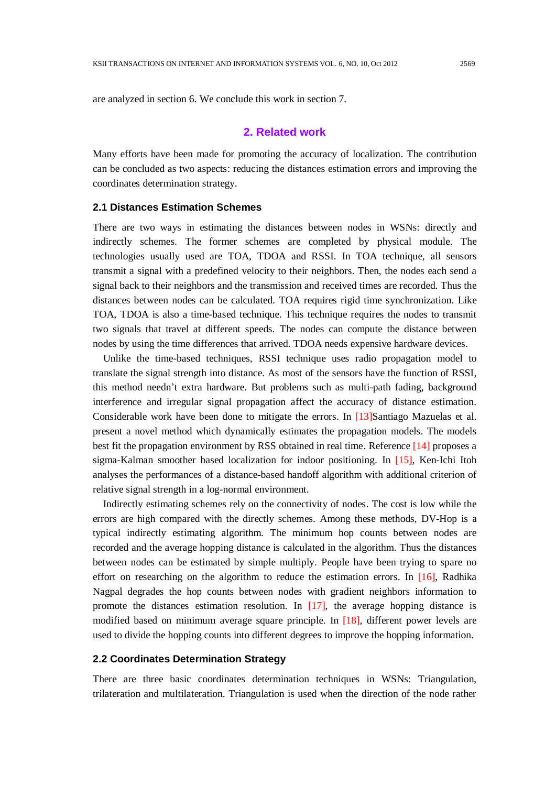are analyzed in section 6. We conclude this work in section 7.

# **2. Related work**

Many efforts have been made for promoting the accuracy of localization. The contribution can be concluded as two aspects: reducing the distances estimation errors and improving the coordinates determination strategy.

#### **2.1 Distances Estimation Schemes**

There are two ways in estimating the distances between nodes in WSNs: directly and indirectly schemes. The former schemes are completed by physical module. The technologies usually used are TOA, TDOA and RSSI. In TOA technique, all sensors transmit a signal with a predefined velocity to their neighbors. Then, the nodes each send a signal back to their neighbors and the transmission and received times are recorded. Thus the distances between nodes can be calculated. TOA requires rigid time synchronization. Like TOA, TDOA is also a time-based technique. This technique requires the nodes to transmit two signals that travel at different speeds. The nodes can compute the distance between nodes by using the time differences that arrived. TDOA needs expensive hardware devices.

Unlike the time-based techniques, RSSI technique uses radio propagation model to translate the signal strength into distance. As most of the sensors have the function of RSSI, this method needn't extra hardware. But problems such as multi-path fading, background interference and irregular signal propagation affect the accuracy of distance estimation. Considerable work have been done to mitigate the errors. In [13]Santiago Mazuelas et al. present a novel method which dynamically estimates the propagation models. The models best fit the propagation environment by RSS obtained in real time. Reference [14] proposes a sigma-Kalman smoother based localization for indoor positioning. In [15], Ken-Ichi Itoh analyses the performances of a distance-based handoff algorithm with additional criterion of relative signal strength in a log-normal environment.

Indirectly estimating schemes rely on the connectivity of nodes. The cost is low while the errors are high compared with the directly schemes. Among these methods, DV-Hop is a typical indirectly estimating algorithm. The minimum hop counts between nodes are recorded and the average hopping distance is calculated in the algorithm. Thus the distances between nodes can be estimated by simple multiply. People have been trying to spare no effort on researching on the algorithm to reduce the estimation errors. In [16], Radhika Nagpal degrades the hop counts between nodes with gradient neighbors information to promote the distances estimation resolution. In [17], the average hopping distance is modified based on minimum average square principle. In [18], different power levels are used to divide the hopping counts into different degrees to improve the hopping information.

# **2.2 Coordinates Determination Strategy**

There are three basic coordinates determination techniques in WSNs: Triangulation, trilateration and multilateration. Triangulation is used when the direction of the node rather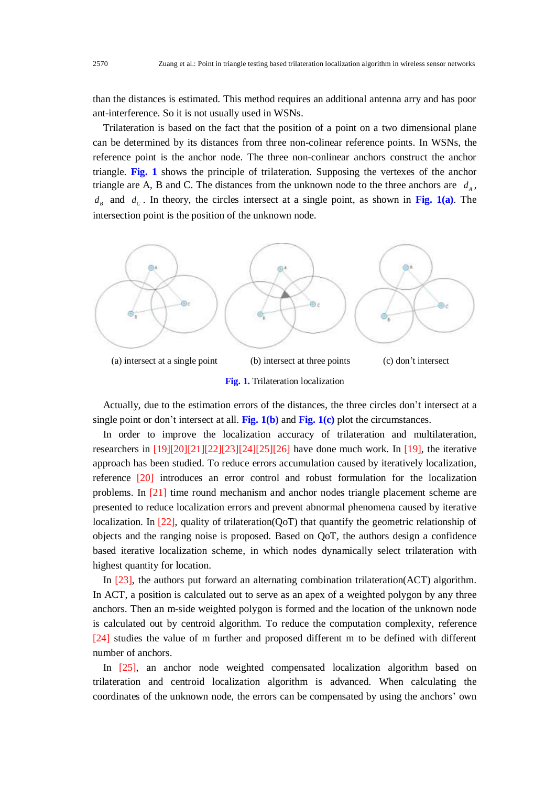than the distances is estimated. This method requires an additional antenna arry and has poor ant-interference. So it is not usually used in WSNs.

Trilateration is based on the fact that the position of a point on a two dimensional plane can be determined by its distances from three non-colinear reference points. In WSNs, the reference point is the anchor node. The three non-conlinear anchors construct the anchor triangle. **Fig. 1** shows the principle of trilateration. Supposing the vertexes of the anchor triangle are A, B and C. The distances from the unknown node to the three anchors are  $d_A$ ,  $d<sub>B</sub>$  and  $d<sub>C</sub>$ . In theory, the circles intersect at a single point, as shown in Fig. 1(a). The intersection point is the position of the unknown node.



Actually, due to the estimation errors of the distances, the three circles don't intersect at a single point or don't intersect at all. **Fig. 1(b)** and **Fig. 1(c)** plot the circumstances.

In order to improve the localization accuracy of trilateration and multilateration, researchers in  $[19][20][21][22][23][24][25][26]$  have done much work. In [19], the iterative approach has been studied. To reduce errors accumulation caused by iteratively localization, reference [20] introduces an error control and robust formulation for the localization problems. In [21] time round mechanism and anchor nodes triangle placement scheme are presented to reduce localization errors and prevent abnormal phenomena caused by iterative localization. In [22], quality of trilateration(QoT) that quantify the geometric relationship of objects and the ranging noise is proposed. Based on QoT, the authors design a confidence based iterative localization scheme, in which nodes dynamically select trilateration with highest quantity for location.

In [23], the authors put forward an alternating combination trilateration(ACT) algorithm. In ACT, a position is calculated out to serve as an apex of a weighted polygon by any three anchors. Then an m-side weighted polygon is formed and the location of the unknown node is calculated out by centroid algorithm. To reduce the computation complexity, reference [24] studies the value of m further and proposed different m to be defined with different number of anchors.

In [25], an anchor node weighted compensated localization algorithm based on trilateration and centroid localization algorithm is advanced. When calculating the coordinates of the unknown node, the errors can be compensated by using the anchors' own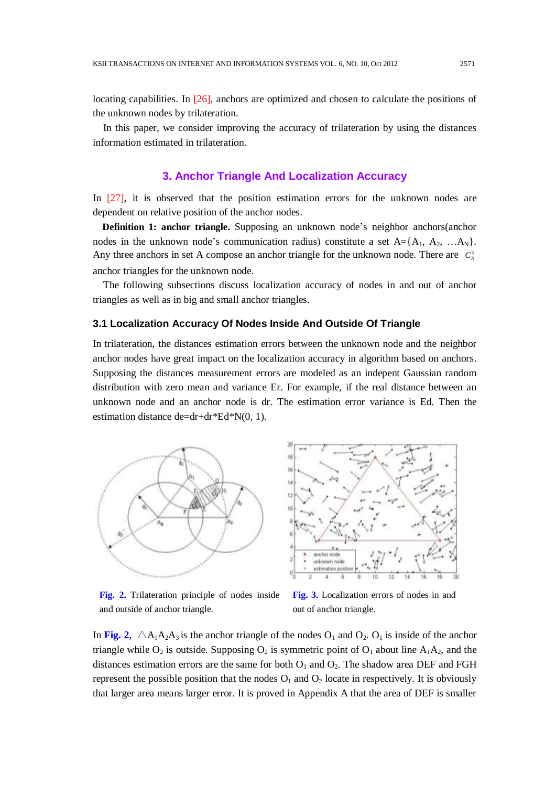locating capabilities. In [26], anchors are optimized and chosen to calculate the positions of the unknown nodes by trilateration.

In this paper, we consider improving the accuracy of trilateration by using the distances information estimated in trilateration.

# **3. Anchor Triangle And Localization Accuracy**

In [27], it is observed that the position estimation errors for the unknown nodes are dependent on relative position of the anchor nodes.

**Definition 1: anchor triangle.** Supposing an unknown node's neighbor anchors(anchor nodes in the unknown node's communication radius) constitute a set  $A = \{A_1, A_2, ... A_N\}$ . Any three anchors in set A compose an anchor triangle for the unknown node. There are  $C_N^3$ anchor triangles for the unknown node.

The following subsections discuss localization accuracy of nodes in and out of anchor triangles as well as in big and small anchor triangles.

#### **3.1 Localization Accuracy Of Nodes Inside And Outside Of Triangle**

In trilateration, the distances estimation errors between the unknown node and the neighbor anchor nodes have great impact on the localization accuracy in algorithm based on anchors. Supposing the distances measurement errors are modeled as an indepent Gaussian random distribution with zero mean and variance Er. For example, if the real distance between an unknown node and an anchor node is dr. The estimation error variance is Ed. Then the estimation distance de=dr+dr\*Ed\*N(0, 1).



**Fig. 2.** Trilateration principle of nodes inside and outside of anchor triangle.



**Fig. 3.** Localization errors of nodes in and out of anchor triangle.

In Fig. 2,  $\triangle A_1A_2A_3$  is the anchor triangle of the nodes  $O_1$  and  $O_2$ .  $O_1$  is inside of the anchor triangle while  $O_2$  is outside. Supposing  $O_2$  is symmetric point of  $O_1$  about line  $A_1A_2$ , and the distances estimation errors are the same for both  $O_1$  and  $O_2$ . The shadow area DEF and FGH represent the possible position that the nodes  $O_1$  and  $O_2$  locate in respectively. It is obviously that larger area means larger error. It is proved in Appendix A that the area of DEF is smaller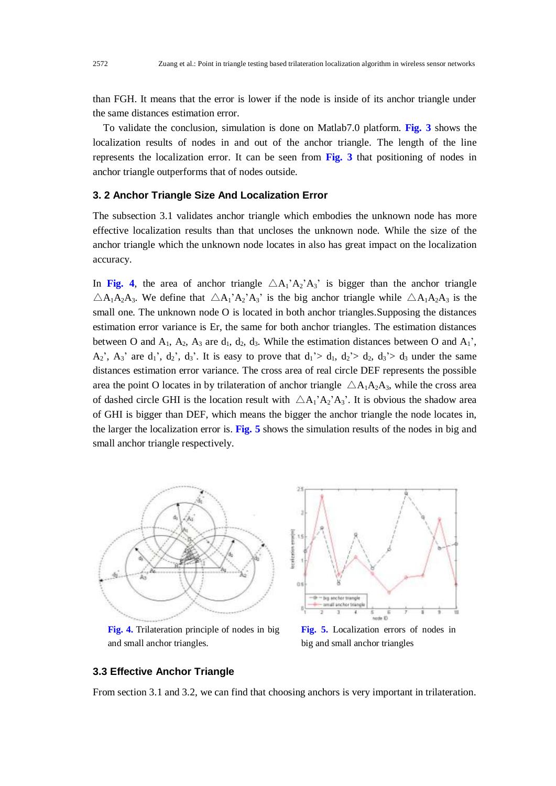than FGH. It means that the error is lower if the node is inside of its anchor triangle under the same distances estimation error.

To validate the conclusion, simulation is done on Matlab7.0 platform. **Fig. 3** shows the localization results of nodes in and out of the anchor triangle. The length of the line represents the localization error. It can be seen from **Fig. 3** that positioning of nodes in anchor triangle outperforms that of nodes outside.

#### **3. 2 Anchor Triangle Size And Localization Error**

The subsection 3.1 validates anchor triangle which embodies the unknown node has more effective localization results than that uncloses the unknown node. While the size of the anchor triangle which the unknown node locates in also has great impact on the localization accuracy.

In Fig. 4, the area of anchor triangle  $\triangle A_1$ 'A<sub>2</sub>'A<sub>3</sub>' is bigger than the anchor triangle  $\triangle A_1A_2A_3$ . We define that  $\triangle A_1'A_2'A_3'$  is the big anchor triangle while  $\triangle A_1A_2A_3$  is the small one. The unknown node O is located in both anchor triangles.Supposing the distances estimation error variance is Er, the same for both anchor triangles. The estimation distances between O and  $A_1$ ,  $A_2$ ,  $A_3$  are  $d_1$ ,  $d_2$ ,  $d_3$ . While the estimation distances between O and  $A_1$ ',  $A_2$ <sup>'</sup>,  $A_3$ <sup>'</sup> are  $d_1$ <sup>'</sup>,  $d_2$ <sup>'</sup>,  $d_3$ '. It is easy to prove that  $d_1$ '>  $d_1$ ,  $d_2$ '>  $d_2$ ,  $d_3$ '>  $d_3$  under the same distances estimation error variance. The cross area of real circle DEF represents the possible area the point O locates in by trilateration of anchor triangle  $\triangle A_1A_2A_3$ , while the cross area of dashed circle GHI is the location result with  $\triangle A_1'A_2'A_3'$ . It is obvious the shadow area of GHI is bigger than DEF, which means the bigger the anchor triangle the node locates in, the larger the localization error is. **Fig. 5** shows the simulation results of the nodes in big and small anchor triangle respectively.



**Fig. 4.** Trilateration principle of nodes in big and small anchor triangles.

**Fig. 5.** Localization errors of nodes in big and small anchor triangles

#### **3.3 Effective Anchor Triangle**

From section 3.1 and 3.2, we can find that choosing anchors is very important in trilateration.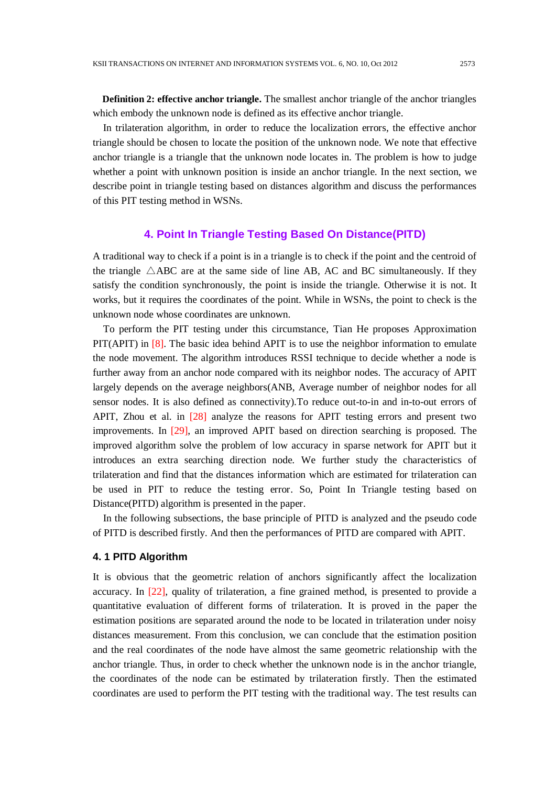**Definition 2: effective anchor triangle.** The smallest anchor triangle of the anchor triangles which embody the unknown node is defined as its effective anchor triangle.

In trilateration algorithm, in order to reduce the localization errors, the effective anchor triangle should be chosen to locate the position of the unknown node. We note that effective anchor triangle is a triangle that the unknown node locates in. The problem is how to judge whether a point with unknown position is inside an anchor triangle. In the next section, we describe point in triangle testing based on distances algorithm and discuss the performances of this PIT testing method in WSNs.

# **4. Point In Triangle Testing Based On Distance(PITD)**

A traditional way to check if a point is in a triangle is to check if the point and the centroid of the triangle  $\triangle$ ABC are at the same side of line AB, AC and BC simultaneously. If they satisfy the condition synchronously, the point is inside the triangle. Otherwise it is not. It works, but it requires the coordinates of the point. While in WSNs, the point to check is the unknown node whose coordinates are unknown.

To perform the PIT testing under this circumstance, Tian He proposes Approximation PIT(APIT) in [8]. The basic idea behind APIT is to use the neighbor information to emulate the node movement. The algorithm introduces RSSI technique to decide whether a node is further away from an anchor node compared with its neighbor nodes. The accuracy of APIT largely depends on the average neighbors(ANB, Average number of neighbor nodes for all sensor nodes. It is also defined as connectivity).To reduce out-to-in and in-to-out errors of APIT, Zhou et al. in [28] analyze the reasons for APIT testing errors and present two improvements. In [29], an improved APIT based on direction searching is proposed. The improved algorithm solve the problem of low accuracy in sparse network for APIT but it introduces an extra searching direction node. We further study the characteristics of trilateration and find that the distances information which are estimated for trilateration can be used in PIT to reduce the testing error. So, Point In Triangle testing based on Distance(PITD) algorithm is presented in the paper.

In the following subsections, the base principle of PITD is analyzed and the pseudo code of PITD is described firstly. And then the performances of PITD are compared with APIT.

## **4. 1 PITD Algorithm**

It is obvious that the geometric relation of anchors significantly affect the localization accuracy. In [22], quality of trilateration, a fine grained method, is presented to provide a quantitative evaluation of different forms of trilateration. It is proved in the paper the estimation positions are separated around the node to be located in trilateration under noisy distances measurement. From this conclusion, we can conclude that the estimation position and the real coordinates of the node have almost the same geometric relationship with the anchor triangle. Thus, in order to check whether the unknown node is in the anchor triangle, the coordinates of the node can be estimated by trilateration firstly. Then the estimated coordinates are used to perform the PIT testing with the traditional way. The test results can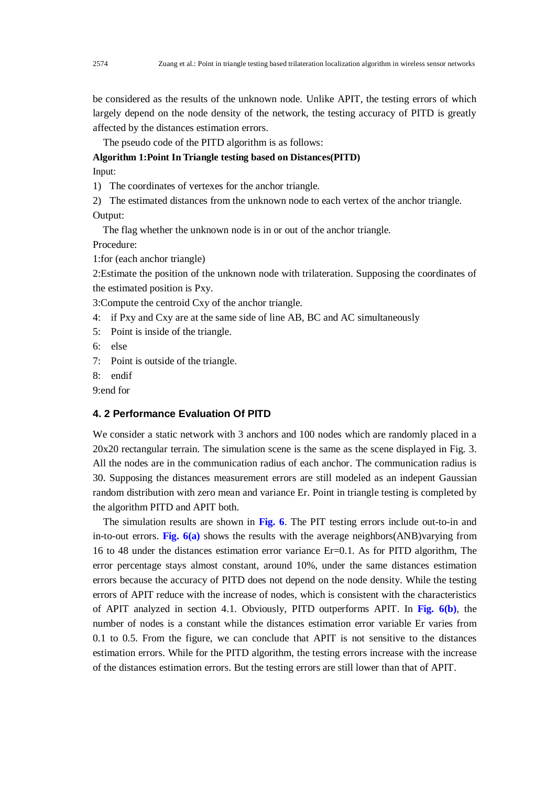be considered as the results of the unknown node. Unlike APIT, the testing errors of which largely depend on the node density of the network, the testing accuracy of PITD is greatly affected by the distances estimation errors.

The pseudo code of the PITD algorithm is as follows:

**Algorithm 1:Point In Triangle testing based on Distances(PITD)**

Input:

1) The coordinates of vertexes for the anchor triangle.

2) The estimated distances from the unknown node to each vertex of the anchor triangle. Output:

The flag whether the unknown node is in or out of the anchor triangle.

Procedure:

1:for (each anchor triangle)

2:Estimate the position of the unknown node with trilateration. Supposing the coordinates of the estimated position is Pxy.

3:Compute the centroid Cxy of the anchor triangle.

- 4: if Pxy and Cxy are at the same side of line AB, BC and AC simultaneously
- 5: Point is inside of the triangle.
- 6: else
- 7: Point is outside of the triangle.
- 8: endif

9:end for

## **4. 2 Performance Evaluation Of PITD**

We consider a static network with 3 anchors and 100 nodes which are randomly placed in a 20x20 rectangular terrain. The simulation scene is the same as the scene displayed in Fig. 3. All the nodes are in the communication radius of each anchor. The communication radius is 30. Supposing the distances measurement errors are still modeled as an indepent Gaussian random distribution with zero mean and variance Er. Point in triangle testing is completed by the algorithm PITD and APIT both.

The simulation results are shown in **Fig. 6**. The PIT testing errors include out-to-in and in-to-out errors. **Fig. 6(a)** shows the results with the average neighbors(ANB)varying from 16 to 48 under the distances estimation error variance Er=0.1. As for PITD algorithm, The error percentage stays almost constant, around 10%, under the same distances estimation errors because the accuracy of PITD does not depend on the node density. While the testing errors of APIT reduce with the increase of nodes, which is consistent with the characteristics of APIT analyzed in section 4.1. Obviously, PITD outperforms APIT. In **Fig. 6(b)**, the number of nodes is a constant while the distances estimation error variable Er varies from 0.1 to 0.5. From the figure, we can conclude that APIT is not sensitive to the distances estimation errors. While for the PITD algorithm, the testing errors increase with the increase of the distances estimation errors. But the testing errors are still lower than that of APIT.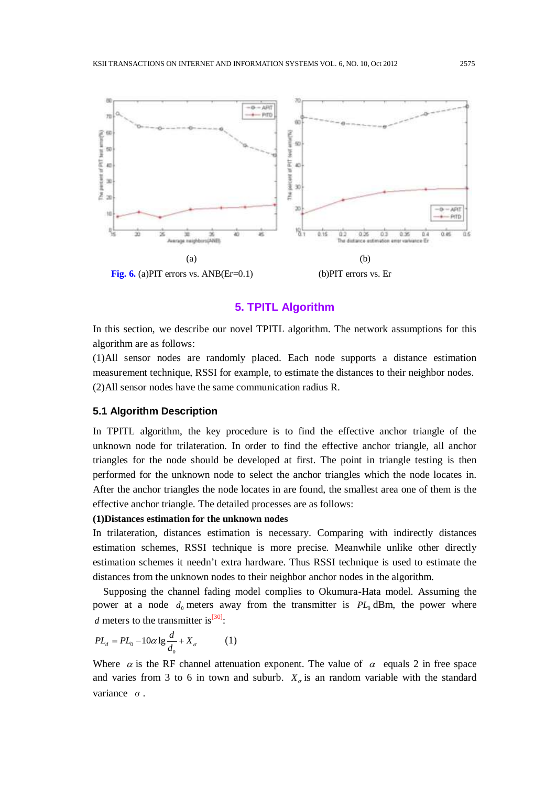

# **5. TPITL Algorithm**

In this section, we describe our novel TPITL algorithm. The network assumptions for this algorithm are as follows:

(1)All sensor nodes are randomly placed. Each node supports a distance estimation measurement technique, RSSI for example, to estimate the distances to their neighbor nodes. (2)All sensor nodes have the same communication radius R.

#### **5.1 Algorithm Description**

In TPITL algorithm, the key procedure is to find the effective anchor triangle of the unknown node for trilateration. In order to find the effective anchor triangle, all anchor triangles for the node should be developed at first. The point in triangle testing is then performed for the unknown node to select the anchor triangles which the node locates in. After the anchor triangles the node locates in are found, the smallest area one of them is the effective anchor triangle. The detailed processes are as follows:

#### **(1)Distances estimation for the unknown nodes**

In trilateration, distances estimation is necessary. Comparing with indirectly distances estimation schemes, RSSI technique is more precise. Meanwhile unlike other directly estimation schemes it needn't extra hardware. Thus RSSI technique is used to estimate the distances from the unknown nodes to their neighbor anchor nodes in the algorithm.

Supposing the channel fading model complies to Okumura-Hata model. Assuming the power at a node  $d_0$  meters away from the transmitter is  $PL_0$  dBm, the power where *d* meters to the transmitter is<sup>[30]</sup>:

$$
PL_d = PL_0 - 10\alpha \lg \frac{d}{d_0} + X_\sigma \tag{1}
$$

Where  $\alpha$  is the RF channel attenuation exponent. The value of  $\alpha$  equals 2 in free space and varies from 3 to 6 in town and suburb.  $X_{\sigma}$  is an random variable with the standard variance σ.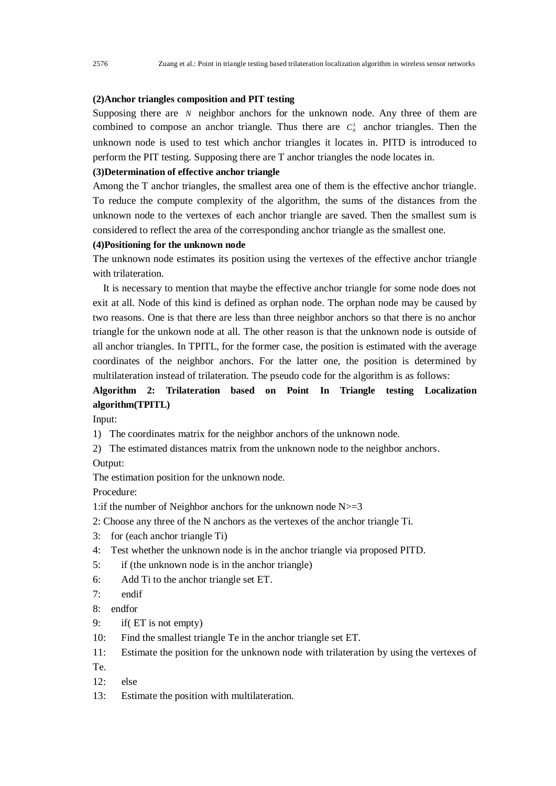# **(2)Anchor triangles composition and PIT testing**

Supposing there are  $N$  neighbor anchors for the unknown node. Any three of them are combined to compose an anchor triangle. Thus there are  $C_N^3$  anchor triangles. Then the unknown node is used to test which anchor triangles it locates in. PITD is introduced to perform the PIT testing. Supposing there are T anchor triangles the node locates in.

#### **(3)Determination of effective anchor triangle**

Among the T anchor triangles, the smallest area one of them is the effective anchor triangle. To reduce the compute complexity of the algorithm, the sums of the distances from the unknown node to the vertexes of each anchor triangle are saved. Then the smallest sum is considered to reflect the area of the corresponding anchor triangle as the smallest one.

## **(4)Positioning for the unknown node**

The unknown node estimates its position using the vertexes of the effective anchor triangle with trilateration.

It is necessary to mention that maybe the effective anchor triangle for some node does not exit at all. Node of this kind is defined as orphan node. The orphan node may be caused by two reasons. One is that there are less than three neighbor anchors so that there is no anchor triangle for the unkown node at all. The other reason is that the unknown node is outside of all anchor triangles. In TPITL, for the former case, the position is estimated with the average coordinates of the neighbor anchors. For the latter one, the position is determined by multilateration instead of trilateration. The pseudo code for the algorithm is as follows:

# **Algorithm 2: Trilateration based on Point In Triangle testing Localization algorithm(TPITL)**

Input:

1) The coordinates matrix for the neighbor anchors of the unknown node.

2) The estimated distances matrix from the unknown node to the neighbor anchors. Output:

The estimation position for the unknown node.

Procedure:

1: if the number of Neighbor anchors for the unknown node  $N \geq 3$ 

- 2: Choose any three of the N anchors as the vertexes of the anchor triangle Ti.
- 3: for (each anchor triangle Ti)
- 4: Test whether the unknown node is in the anchor triangle via proposed PITD.
- 5: if (the unknown node is in the anchor triangle)
- 6: Add Ti to the anchor triangle set ET.
- 7: endif
- 8: endfor
- 9: if( ET is not empty)
- 10: Find the smallest triangle Te in the anchor triangle set ET.
- 11: Estimate the position for the unknown node with trilateration by using the vertexes of
- Te.
- 12: else
- 13: Estimate the position with multilateration.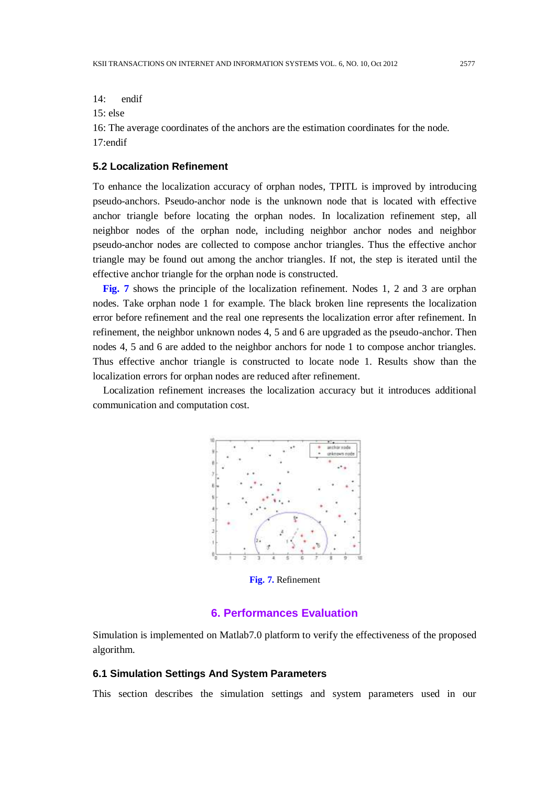14: endif

 $15$ <sup>c</sup> else

16: The average coordinates of the anchors are the estimation coordinates for the node. 17:endif

## **5.2 Localization Refinement**

To enhance the localization accuracy of orphan nodes, TPITL is improved by introducing pseudo-anchors. Pseudo-anchor node is the unknown node that is located with effective anchor triangle before locating the orphan nodes. In localization refinement step, all neighbor nodes of the orphan node, including neighbor anchor nodes and neighbor pseudo-anchor nodes are collected to compose anchor triangles. Thus the effective anchor triangle may be found out among the anchor triangles. If not, the step is iterated until the effective anchor triangle for the orphan node is constructed.

**Fig. 7** shows the principle of the localization refinement. Nodes 1, 2 and 3 are orphan nodes. Take orphan node 1 for example. The black broken line represents the localization error before refinement and the real one represents the localization error after refinement. In refinement, the neighbor unknown nodes 4, 5 and 6 are upgraded as the pseudo-anchor. Then nodes 4, 5 and 6 are added to the neighbor anchors for node 1 to compose anchor triangles. Thus effective anchor triangle is constructed to locate node 1. Results show than the localization errors for orphan nodes are reduced after refinement.

Localization refinement increases the localization accuracy but it introduces additional communication and computation cost.



**Fig. 7.** Refinement

# **6. Performances Evaluation**

Simulation is implemented on Matlab7.0 platform to verify the effectiveness of the proposed algorithm.

#### **6.1 Simulation Settings And System Parameters**

This section describes the simulation settings and system parameters used in our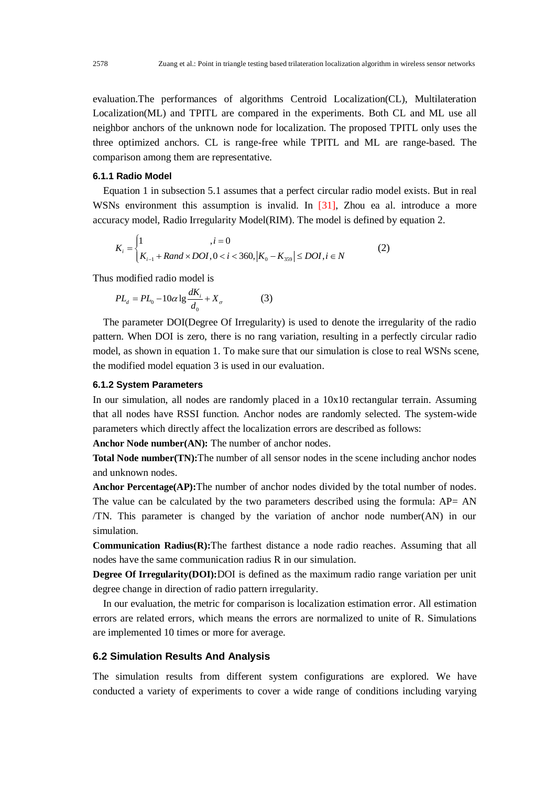evaluation.The performances of algorithms Centroid Localization(CL), Multilateration Localization(ML) and TPITL are compared in the experiments. Both CL and ML use all neighbor anchors of the unknown node for localization. The proposed TPITL only uses the three optimized anchors. CL is range-free while TPITL and ML are range-based. The comparison among them are representative.

#### **6.1.1 Radio Model**

Equation 1 in subsection 5.1 assumes that a perfect circular radio model exists. But in real WSNs environment this assumption is invalid. In [31], Zhou ea al. introduce a more

accuracy model, Radio Irregularity Model(RIM). The model is defined by equation 2.  
\n
$$
K_i = \begin{cases} 1 & , i = 0 \\ K_{i-1} + Rand \times DOI, 0 < i < 360, |K_0 - K_{359}| \le DOI, i \in N \end{cases}
$$
\n(2)

Thus modified radio model is

$$
PL_a = PL_0 - 10\alpha \lg \frac{dK_i}{d_0} + X_\sigma \tag{3}
$$

The parameter DOI(Degree Of Irregularity) is used to denote the irregularity of the radio pattern. When DOI is zero, there is no rang variation, resulting in a perfectly circular radio model, as shown in equation 1. To make sure that our simulation is close to real WSNs scene, the modified model equation 3 is used in our evaluation.

#### **6.1.2 System Parameters**

In our simulation, all nodes are randomly placed in a 10x10 rectangular terrain. Assuming that all nodes have RSSI function. Anchor nodes are randomly selected. The system-wide parameters which directly affect the localization errors are described as follows:

**Anchor Node number(AN):** The number of anchor nodes.

**Total Node number(TN):**The number of all sensor nodes in the scene including anchor nodes and unknown nodes.

**Anchor Percentage(AP):**The number of anchor nodes divided by the total number of nodes. The value can be calculated by the two parameters described using the formula:  $AP = AN$ /TN. This parameter is changed by the variation of anchor node number(AN) in our simulation.

**Communication Radius(R):**The farthest distance a node radio reaches. Assuming that all nodes have the same communication radius R in our simulation.

**Degree Of Irregularity(DOI):**DOI is defined as the maximum radio range variation per unit degree change in direction of radio pattern irregularity.

In our evaluation, the metric for comparison is localization estimation error. All estimation errors are related errors, which means the errors are normalized to unite of R. Simulations are implemented 10 times or more for average.

#### **6.2 Simulation Results And Analysis**

The simulation results from different system configurations are explored. We have conducted a variety of experiments to cover a wide range of conditions including varying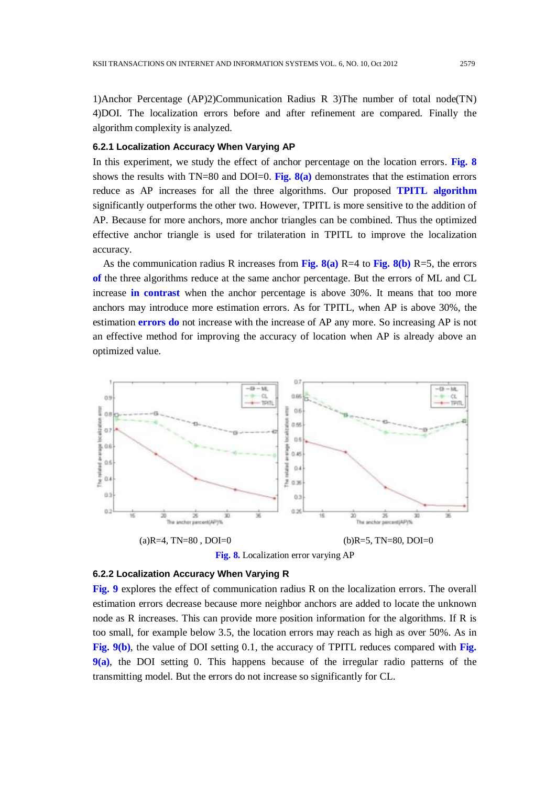1)Anchor Percentage (AP)2)Communication Radius R 3)The number of total node(TN) 4)DOI. The localization errors before and after refinement are compared. Finally the algorithm complexity is analyzed.

#### **6.2.1 Localization Accuracy When Varying AP**

In this experiment, we study the effect of anchor percentage on the location errors. **Fig. 8**  shows the results with TN=80 and DOI=0. **Fig. 8(a)** demonstrates that the estimation errors reduce as AP increases for all the three algorithms. Our proposed **TPITL algorithm** significantly outperforms the other two. However, TPITL is more sensitive to the addition of AP. Because for more anchors, more anchor triangles can be combined. Thus the optimized effective anchor triangle is used for trilateration in TPITL to improve the localization accuracy.

As the communication radius R increases from **Fig. 8(a)** R=4 to **Fig. 8(b)** R=5, the errors **of** the three algorithms reduce at the same anchor percentage. But the errors of ML and CL increase **in contrast** when the anchor percentage is above 30%. It means that too more anchors may introduce more estimation errors. As for TPITL, when AP is above 30%, the estimation **errors do** not increase with the increase of AP any more. So increasing AP is not an effective method for improving the accuracy of location when AP is already above an optimized value.



## **6.2.2 Localization Accuracy When Varying R**

**Fig. 9** explores the effect of communication radius R on the localization errors. The overall estimation errors decrease because more neighbor anchors are added to locate the unknown node as R increases. This can provide more position information for the algorithms. If R is too small, for example below 3.5, the location errors may reach as high as over 50%. As in **Fig. 9(b)**, the value of DOI setting 0.1, the accuracy of TPITL reduces compared with **Fig. 9(a)**, the DOI setting 0. This happens because of the irregular radio patterns of the transmitting model. But the errors do not increase so significantly for CL.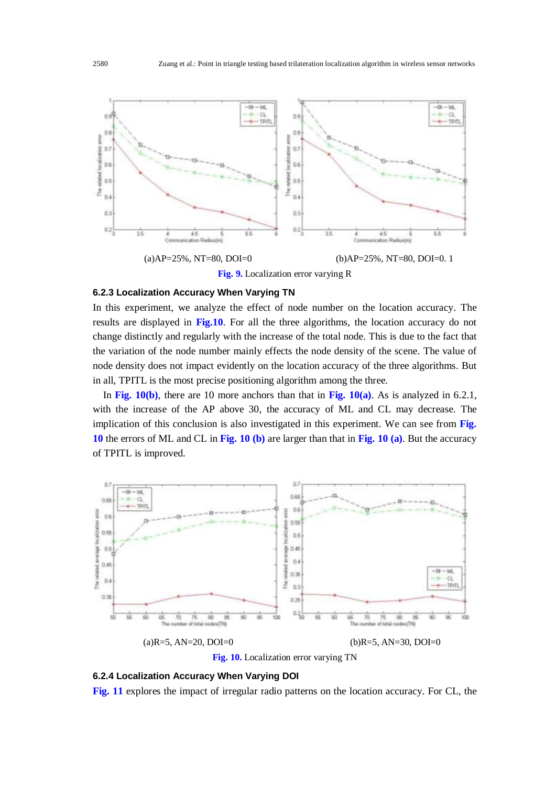

**Fig. 9.** Localization error varying R

#### **6.2.3 Localization Accuracy When Varying TN**

In this experiment, we analyze the effect of node number on the location accuracy. The results are displayed in **Fig.10**. For all the three algorithms, the location accuracy do not change distinctly and regularly with the increase of the total node. This is due to the fact that the variation of the node number mainly effects the node density of the scene. The value of node density does not impact evidently on the location accuracy of the three algorithms. But in all, TPITL is the most precise positioning algorithm among the three.

In **Fig. 10(b)**, there are 10 more anchors than that in **Fig. 10(a)**. As is analyzed in 6.2.1, with the increase of the AP above 30, the accuracy of ML and CL may decrease. The implication of this conclusion is also investigated in this experiment. We can see from **Fig. 10** the errors of ML and CL in **Fig. 10 (b)** are larger than that in **Fig. 10 (a)**. But the accuracy of TPITL is improved.



# **6.2.4 Localization Accuracy When Varying DOI**

**Fig. 11** explores the impact of irregular radio patterns on the location accuracy. For CL, the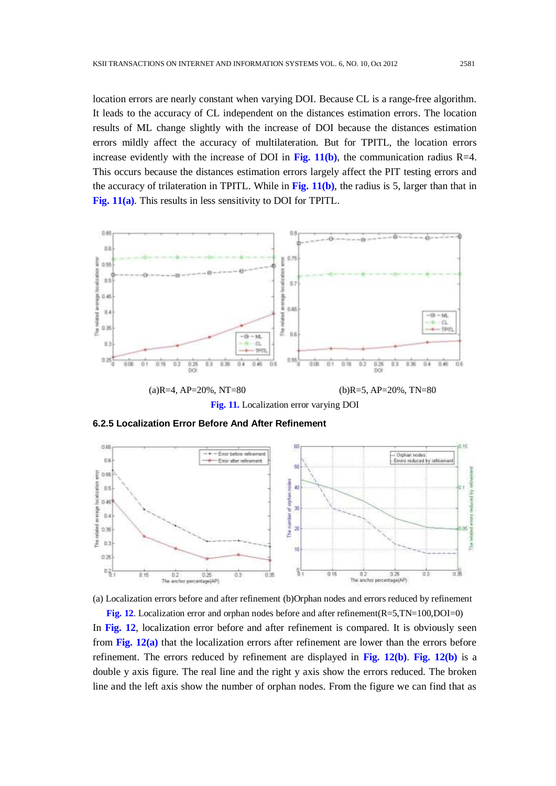location errors are nearly constant when varying DOI. Because CL is a range-free algorithm. It leads to the accuracy of CL independent on the distances estimation errors. The location results of ML change slightly with the increase of DOI because the distances estimation errors mildly affect the accuracy of multilateration. But for TPITL, the location errors increase evidently with the increase of DOI in Fig.  $11(b)$ , the communication radius R=4. This occurs because the distances estimation errors largely affect the PIT testing errors and the accuracy of trilateration in TPITL. While in **Fig. 11(b)**, the radius is 5, larger than that in **Fig. 11(a)**. This results in less sensitivity to DOI for TPITL.



**Fig. 11.** Localization error varying DOI







**Fig. 12**. Localization error and orphan nodes before and after refinement(R=5,TN=100,DOI=0) In **Fig. 12**, localization error before and after refinement is compared. It is obviously seen from **Fig. 12(a)** that the localization errors after refinement are lower than the errors before refinement. The errors reduced by refinement are displayed in **Fig. 12(b)**. **Fig. 12(b)** is a double y axis figure. The real line and the right y axis show the errors reduced. The broken line and the left axis show the number of orphan nodes. From the figure we can find that as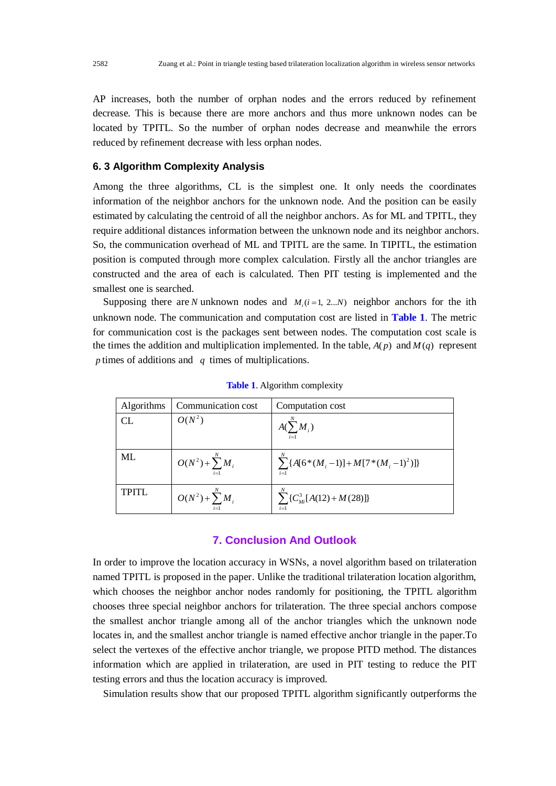AP increases, both the number of orphan nodes and the errors reduced by refinement decrease. This is because there are more anchors and thus more unknown nodes can be located by TPITL. So the number of orphan nodes decrease and meanwhile the errors reduced by refinement decrease with less orphan nodes.

#### **6. 3 Algorithm Complexity Analysis**

Among the three algorithms, CL is the simplest one. It only needs the coordinates information of the neighbor anchors for the unknown node. And the position can be easily estimated by calculating the centroid of all the neighbor anchors. As for ML and TPITL, they require additional distances information between the unknown node and its neighbor anchors. So, the communication overhead of ML and TPITL are the same. In TIPITL, the estimation position is computed through more complex calculation. Firstly all the anchor triangles are constructed and the area of each is calculated. Then PIT testing is implemented and the smallest one is searched.

Supposing there are *N* unknown nodes and  $M_i$  ( $i = 1, 2...N$ ) neighbor anchors for the ith unknown node. The communication and computation cost are listed in **Table 1**. The metric for communication cost is the packages sent between nodes. The computation cost scale is the times the addition and multiplication implemented. In the table,  $A(p)$  and  $M(q)$  represent *p* times of additions and *q* times of multiplications.

| Algorithms | Communication cost      | Computation cost                                |
|------------|-------------------------|-------------------------------------------------|
| CL         | $O(N^2)$                | $A(\sum M_i)$<br>$i=1$                          |
| ML         | $O(N^2) + \sum^{N} M_i$ | $\sum \{A[6*(M_i-1)]+M[7*(M_i-1)^2]\}$<br>$i=1$ |
| TPITL      | $O(N^2) + \sum M_i$     | $\sum {C_{Mi}^3 [A(12) + M(28)]}$<br>$i=1$      |

**Table 1**. Algorithm complexity

# **7. Conclusion And Outlook**

In order to improve the location accuracy in WSNs, a novel algorithm based on trilateration named TPITL is proposed in the paper. Unlike the traditional trilateration location algorithm, which chooses the neighbor anchor nodes randomly for positioning, the TPITL algorithm chooses three special neighbor anchors for trilateration. The three special anchors compose the smallest anchor triangle among all of the anchor triangles which the unknown node locates in, and the smallest anchor triangle is named effective anchor triangle in the paper.To select the vertexes of the effective anchor triangle, we propose PITD method. The distances information which are applied in trilateration, are used in PIT testing to reduce the PIT testing errors and thus the location accuracy is improved.

Simulation results show that our proposed TPITL algorithm significantly outperforms the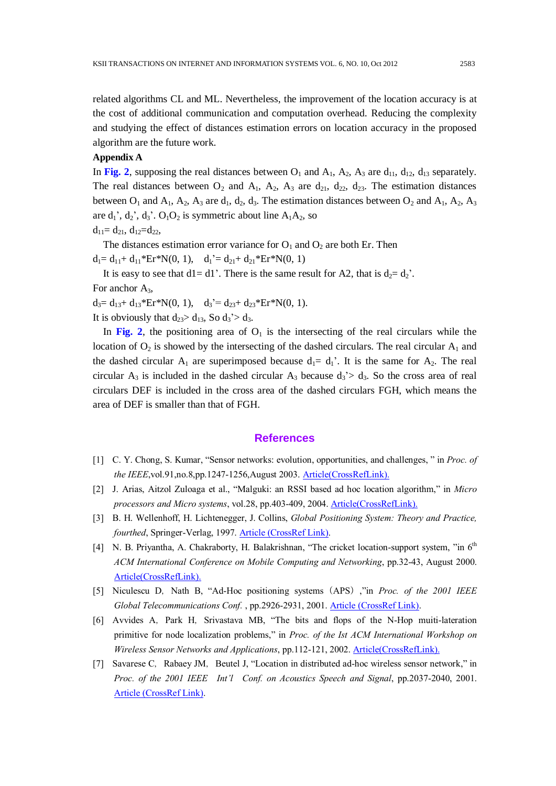related algorithms CL and ML. Nevertheless, the improvement of the location accuracy is at the cost of additional communication and computation overhead. Reducing the complexity and studying the effect of distances estimation errors on location accuracy in the proposed algorithm are the future work.

## **Appendix A**

In Fig. 2, supposing the real distances between  $O_1$  and  $A_1$ ,  $A_2$ ,  $A_3$  are  $d_{11}$ ,  $d_{12}$ ,  $d_{13}$  separately. The real distances between  $O_2$  and  $A_1$ ,  $A_2$ ,  $A_3$  are  $d_{21}$ ,  $d_{22}$ ,  $d_{23}$ . The estimation distances between  $O_1$  and  $A_1$ ,  $A_2$ ,  $A_3$  are  $d_1$ ,  $d_2$ ,  $d_3$ . The estimation distances between  $O_2$  and  $A_1$ ,  $A_2$ ,  $A_3$ are  $d_1$ ',  $d_2$ ',  $d_3$ '.  $O_1O_2$  is symmetric about line  $A_1A_2$ , so

 $d_{11}= d_{21}$ ,  $d_{12}=d_{22}$ ,

The distances estimation error variance for  $O_1$  and  $O_2$  are both Er. Then

 $d_1 = d_{11} + d_{11} * Er * N(0, 1), \quad d_1' = d_{21} + d_{21} * Er * N(0, 1)$ 

It is easy to see that  $dl = dl'$ . There is the same result for A2, that is  $d_2 = d_2'$ .

For anchor  $A_3$ ,

 $d_3 = d_{13} + d_{13} * Er^*N(0, 1), \quad d_3' = d_{23} + d_{23} * Er^*N(0, 1).$ 

It is obviously that  $d_{23} > d_{13}$ , So  $d_3 > d_3$ .

In Fig. 2, the positioning area of  $O<sub>1</sub>$  is the intersecting of the real circulars while the location of  $O_2$  is showed by the intersecting of the dashed circulars. The real circular  $A_1$  and the dashed circular  $A_1$  are superimposed because  $d_1 = d_1'$ . It is the same for  $A_2$ . The real circular  $A_3$  is included in the dashed circular  $A_3$  because  $d_3 > d_3$ . So the cross area of real circulars DEF is included in the cross area of the dashed circulars FGH, which means the area of DEF is smaller than that of FGH.

## **References**

- [1] C. Y. Chong, S. Kumar, "Sensor networks: evolution, opportunities, and challenges, " in *Proc. of the IEEE*,vol.91,no.8,pp.1247-1256,August 2003. [Article\(CrossRefLink\).](http://dx.doi.org/10.1109/JPROC.2003.814918)
- [2] J. Arias, Aitzol Zuloaga et al., "Malguki: an RSSI based ad hoc location algorithm," in *Micro processors and Micro systems*, vol.28, pp.403-409, 2004. [Article\(CrossRefLink\).](http://dx.doi.org/10.1016/j.micpro.2004.03.001)
- [3] B. H. Wellenhoff, H. Lichtenegger, J. Collins, *Global Positioning System: Theory and Practice, fourthed*, Springer-Verlag, 1997. [Article \(CrossRef Link\).](http://www.abebooks.co.uk/9783211828397/Global-Positioning-System-Theory-Practice-3211828397/plp)
- [4] N. B. Priyantha, A. Chakraborty, H. Balakrishnan, "The cricket location-support system, "in  $6<sup>th</sup>$ *ACM International Conference on Mobile Computing and Networking*, pp.32-43, August 2000. [Article\(CrossRefLink\).](http://dx.doi.org/10.1145/345910.345917)
- [5] Niculescu D, Nath B, "Ad-Hoc positioning systems (APS), "in *Proc. of the 2001 IEEE Global Telecommunications Conf.*, pp.2926-2931, 2001. [Article \(CrossRef Link\).](http://ieeexplore.ieee.org/xpl/articleDetails.jsp?tp=&arnumber=965964&contentType=Conference+Publications&matchBoolean%3Dtrue%26searchField%3DSearch_All%26queryText%3D%28%28p_Authors%3ANiculescu+D.%29+AND+p_Title%3Apositioning%29)
- [6] Avvides A, Park H, Srivastava MB, "The bits and flops of the N-Hop muiti-lateration primitive for node localization problems," in *Proc. of the Ist ACM International Workshop on Wireless Sensor Networks and Applications*, pp.112-121, 2002. [Article\(CrossRefLink\).](http://dx.doi.org/10.1145/570738.570755)
- [7] Savarese C, Rabaey JM, Beutel J, "Location in distributed ad-hoc wireless sensor network," in *Proc. of the 2001 IEEE Int'l Conf. on Acoustics Speech and Signal*, pp.2037-2040, 2001. [Article \(CrossRef Link\).](http://dx.doi.org/doi:10.1109/ICASSP.2001.940391)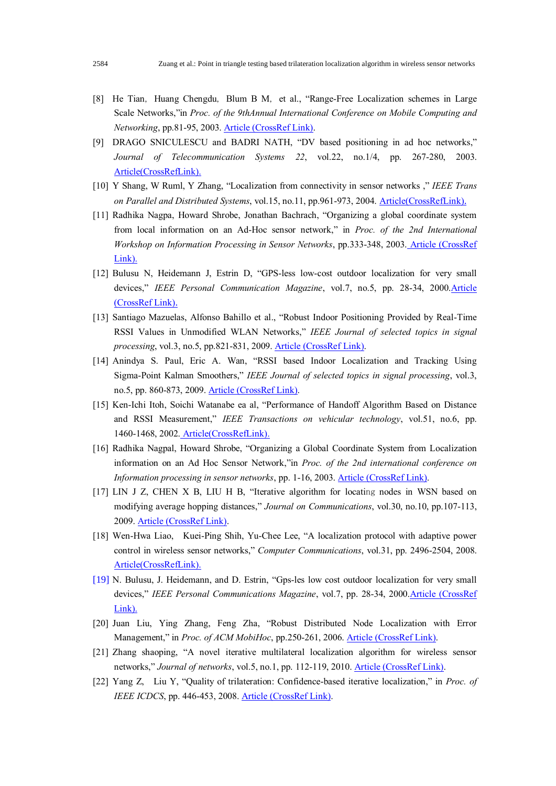- [8] He Tian, Huang Chengdu, Blum B M, et al., "Range-Free Localization schemes in Large Scale Networks,"in *Proc. of the 9thAnnual International Conference on Mobile Computing and Networking*, pp.81-95, 2003[. Article \(CrossRef Link\).](http://dx.doi.org/doi:10.1145/938985.938995)
- [9] DRAGO SNICULESCU and BADRI NATH, "DV based positioning in ad hoc networks," *Journal of Telecommunication Systems 22*, vol.22, no.1/4, pp. 267-280, 2003. [Article\(CrossRefLink\).](http://dx.doi.org/10.1023/A:1023403323460)
- [10] Y Shang, W Ruml, Y Zhang, "Localization from connectivity in sensor networks ," *IEEE Trans on Parallel and Distributed Systems*, vol.15, no.11, pp.961-973, 2004. [Article\(CrossRefLink\)](http://dx.doi.org/10.1109/TPDS.2004.67).
- [11] Radhika Nagpa, Howard Shrobe, Jonathan Bachrach, "Organizing a global coordinate system from local information on an Ad-Hoc sensor network," in *Proc. of the 2nd International Workshop on Information Processing in Sensor Networks*, pp.333-348, 2003. [Article \(CrossRef](http://dx.doi.org/10.1007/3-540-36978-3_22)  [Link\).](http://dx.doi.org/10.1007/3-540-36978-3_22)
- [12] Bulusu N, Heidemann J, Estrin D, "GPS-less low-cost outdoor localization for very small devices," *IEEE Personal Communication Magazine*, vol.7, no.5, pp. 28-34, 200[0.Article](http://dx.doi.org/doi:10.1109/98.878533) [\(CrossRef Link\)](http://dx.doi.org/doi:10.1109/98.878533).
- [13] Santiago Mazuelas, Alfonso Bahillo et al., "Robust Indoor Positioning Provided by Real-Time RSSI Values in Unmodified WLAN Networks," *IEEE Journal of selected topics in signal processing*, vol.3, no.5, pp.821-831, 2009. [Article \(CrossRef Link\).](http://dx.doi.org/doi:10.1109/JSTSP.2009.2029191)
- [14] Anindya S. Paul, Eric A. Wan, "RSSI based Indoor Localization and Tracking Using Sigma-Point Kalman Smoothers," *IEEE Journal of selected topics in signal processing*, vol.3, no.5, pp. 860-873, 2009. [Article \(CrossRef Link\).](http://dx.doi.org/doi:10.1109/JSTSP.2009.2032309)
- [15] Ken-Ichi Itoh, Soichi Watanabe ea al, "Performance of Handoff Algorithm Based on Distance and RSSI Measurement," *IEEE Transactions on vehicular technology*, vol.51, no.6, pp. 1460-1468, 2002. [Article\(CrossRefLink\).](http://dx.doi.org/10.1109/TVT.2002.804866)
- [16] Radhika Nagpal, Howard Shrobe, "Organizing a Global Coordinate System from Localization information on an Ad Hoc Sensor Network,"in *Proc. of the 2nd international conference on Information processing in sensor networks*, pp. 1-16, 2003. [Article \(CrossRef Link\).](http://groups.csail.mit.edu/mac/projects/amorphous/papers/ipsn-2003-v5.pdf)
- [17] LIN J Z, CHEN X B, LIU H B, "Iterative algorithm for locating nodes in WSN based on modifying average hopping distances," *Journal on Communications*, vol.30, no.10, pp.107-113, 2009. [Article \(CrossRef Link\).](http://en.cnki.com.cn/Article_en/CJFDTOTAL-TXXB200910017.htm)
- [18] Wen-Hwa Liao, Kuei-Ping Shih, Yu-Chee Lee, "A localization protocol with adaptive power control in wireless sensor networks," *Computer Communications*, vol.31, pp. 2496-2504, 2008. [Article\(CrossRefLink\).](http://dx.doi.org/10.1016/j.comcom.2008.03.020)
- [19] N. Bulusu, J. Heidemann, and D. Estrin, "Gps-les low cost outdoor localization for very small devices," *IEEE Personal Communications Magazine*, vol.7, pp. 28-34, 2000.Article (CrossRef [Link\).](http://dx.doi.org/10.1109/98.878533)
- [20] Juan Liu, Ying Zhang, Feng Zha, "Robust Distributed Node Localization with Error Management," in *Proc. of ACM MobiHoc*, pp.250-261, 2006. [Article \(CrossRef Link\).](http://research.microsoft.com/en-us/um/people/zhao/pubs/ils-mobihoc06.pdf)
- [21] Zhang shaoping, "A novel iterative multilateral localization algorithm for wireless sensor networks," *Journal of networks*, vol.5, no.1, pp. 112-119, 2010[. Article \(CrossRef Link\).](http://dx.doi.org/doi:10.4304/jnw.5.1.112-119)
- [22] Yang Z, Liu Y, "Quality of trilateration: Confidence-based iterative localization," in *Proc. of IEEE ICDCS*, pp. 446-453, 2008[. Article \(CrossRef Link\).](http://dx.doi.org/doi:10.1109/ICDCS.2008.59)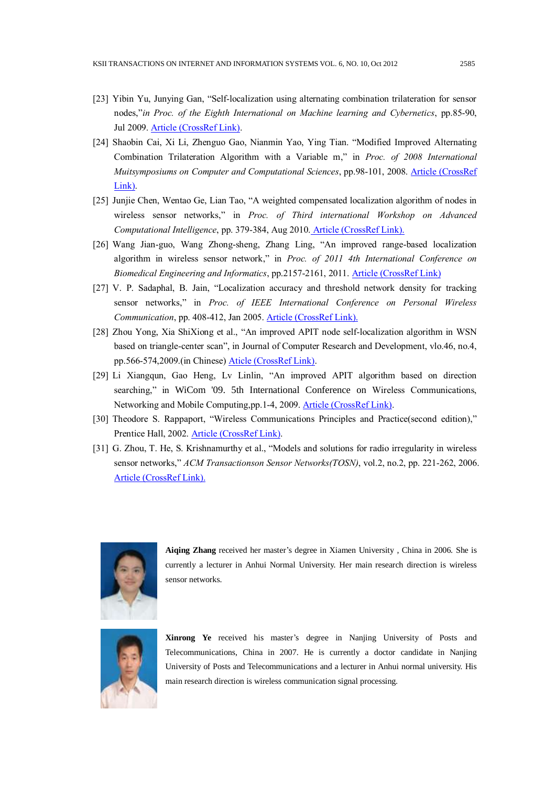- [23] Yibin Yu, Junying Gan, "Self-localization using alternating combination trilateration for sensor nodes,"*in Proc. of the Eighth International on Machine learning and Cybernetics*, pp.85-90, Jul 2009. [Article \(CrossRef Link\).](http://dx.doi.org/doi:10.1109/ICMLC.2009.5212512)
- [24] Shaobin Cai, Xi Li, Zhenguo Gao, Nianmin Yao, Ying Tian. "Modified Improved Alternating Combination Trilateration Algorithm with a Variable m," in *Proc. of 2008 International Muitsymposiums on Computer and Computational Sciences*, pp.98-101, 2008. [Article \(CrossRef](http://dx.doi.org/doi:10.1109/IMSCCS.2008.23)  [Link\).](http://dx.doi.org/doi:10.1109/IMSCCS.2008.23)
- [25] Junjie Chen, Wentao Ge, Lian Tao, "A weighted compensated localization algorithm of nodes in wireless sensor networks," in *Proc. of Third international Workshop on Advanced Computational Intelligence*, pp. 379-384, Aug 2010. [Article \(CrossRef Link\).](http://dx.doi.org/10.1109/IWACI.2010.5585131)
- [26] Wang Jian-guo, Wang Zhong-sheng, Zhang Ling, "An improved range-based localization algorithm in wireless sensor network," in *Proc. of 2011 4th International Conference on Biomedical Engineering and Informatics*, pp.2157-2161, 2011[. Article \(CrossRef Link\)](http://dx.doi.org/doi:10.1109/BMEI.2011.6098666)
- [27] V. P. Sadaphal, B. Jain, "Localization accuracy and threshold network density for tracking sensor networks," in *Proc. of IEEE International Conference on Personal Wireless Communication*, pp. 408-412, Jan 2005. [Article \(CrossRef Link\).](http://dx.doi.org/10.1109/ICPWC.2005.1431376)
- [28] Zhou Yong, Xia ShiXiong et al., "An improved APIT node self-localization algorithm in WSN based on triangle-center scan", in Journal of Computer Research and Development, vlo.46, no.4, pp.566-574,2009.(in Chinese) [Aticle \(CrossRef Link\).](http://www.cnki.net/kcms/detail/detail.aspx?dbcode=cjfq&dbname=cjfq2009&filename=jfyz200904006&uid=WEEvREcwSlJHSldSdnQ0UG9rSVF1K1Z5N1ZtTk9tODMwaGZFcGRrQ05qOUdhNFM0R3ZEWkh2TUlpSFFuWmRVPQ==&p)
- [29] Li Xiangqun, Gao Heng, Lv Linlin, "An improved APIT algorithm based on direction searching," in WiCom '09. 5th International Conference on Wireless Communications, Networking and Mobile Computing,pp.1-4, 2009. [Article \(CrossRef Link\).](http://dx.doi.org/doi:10.1109/WICOM.2009.5303135)
- [30] Theodore S. Rappaport, "Wireless Communications Principles and Practice(second edition)," Prentice Hall, 2002[. Article \(CrossRef Link\).](http://www.pearson.ch/HigherEducation/ElectricalEngineering/Communications/1471/9780130422323/Wireless-Communications-Principles-and.aspx)
- [31] G. Zhou, T. He, S. Krishnamurthy et al., "Models and solutions for radio irregularity in wireless sensor networks," *ACM Transactionson Sensor Networks(TOSN)*, vol.2, no.2, pp. 221-262, 2006. [Article \(CrossRef Link\).](http://dx.doi.org/10.1145/1149283.1149287)



**Aiqing Zhang** received her master's degree in Xiamen University , China in 2006. She is currently a lecturer in Anhui Normal University. Her main research direction is wireless sensor networks.



**Xinrong Ye** received his master's degree in Nanjing University of Posts and Telecommunications, China in 2007. He is currently a doctor candidate in Nanjing University of Posts and Telecommunications and a lecturer in Anhui normal university. His main research direction is wireless communication signal processing.